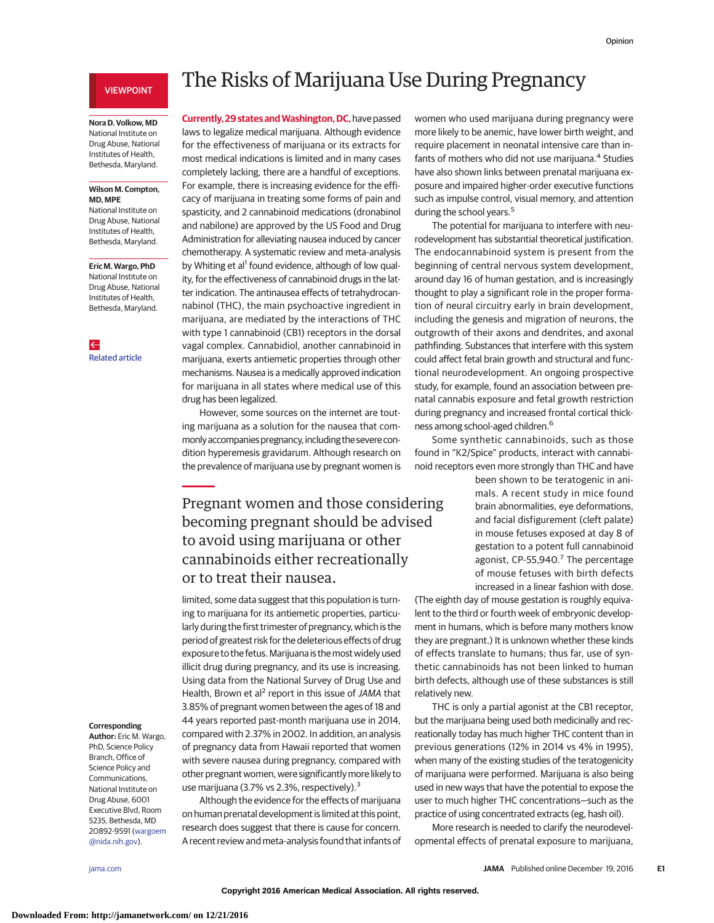### VIEWPOINT

### **Nora D. Volkow, MD** National Institute on Drug Abuse, National Institutes of Health, Bethesda, Maryland.

#### **Wilson M. Compton, MD, MPE**

National Institute on Drug Abuse, National Institutes of Health, Bethesda, Maryland.

### **Eric M. Wargo, PhD** National Institute on Drug Abuse, National Institutes of Health, Bethesda, Maryland.

 $\leftarrow$ [Related article](http://jama.jamanetwork.com/article.aspx?doi=10.1001/jama.2016.17383&utm_campaign=articlePDF%26utm_medium=articlePDFlink%26utm_source=articlePDF%26utm_content=jama.2016.18612)

# The Risks of Marijuana Use During Pregnancy

**Currently, 29 states and Washington, DC, have passed** laws to legalize medical marijuana. Although evidence for the effectiveness of marijuana or its extracts for most medical indications is limited and in many cases completely lacking, there are a handful of exceptions. For example, there is increasing evidence for the efficacy of marijuana in treating some forms of pain and spasticity, and 2 cannabinoid medications (dronabinol and nabilone) are approved by the US Food and Drug Administration for alleviating nausea induced by cancer chemotherapy. A systematic review and meta-analysis by Whiting et al<sup>1</sup> found evidence, although of low quality, for the effectiveness of cannabinoid drugs in the latter indication. The antinausea effects of tetrahydrocannabinol (THC), the main psychoactive ingredient in marijuana, are mediated by the interactions of THC with type 1 cannabinoid (CB1) receptors in the dorsal vagal complex. Cannabidiol, another cannabinoid in marijuana, exerts antiemetic properties through other mechanisms. Nausea is a medically approved indication for marijuana in all states where medical use of this drug has been legalized.

However, some sources on the internet are touting marijuana as a solution for the nausea that commonlyaccompanies pregnancy, including the severe condition hyperemesis gravidarum. Although research on the prevalence of marijuana use by pregnant women is

Pregnant women and those considering becoming pregnant should be advised to avoid using marijuana or other cannabinoids either recreationally or to treat their nausea.

limited, some data suggest that this population is turning to marijuana for its antiemetic properties, particularly during the first trimester of pregnancy, which is the period of greatest risk for the deleterious effects of drug exposure to the fetus. Marijuana is the most widely used illicit drug during pregnancy, and its use is increasing. Using data from the National Survey of Drug Use and Health, Brown et al<sup>2</sup> report in this issue of JAMA that 3.85% of pregnant women between the ages of 18 and 44 years reported past-month marijuana use in 2014, compared with 2.37% in 2002. In addition, an analysis of pregnancy data from Hawaii reported that women with severe nausea during pregnancy, compared with other pregnant women, were significantlymore likely to use marijuana (3.7% vs 2.3%, respectively).<sup>3</sup>

Although the evidence for the effects of marijuana on human prenatal development is limited at this point, research does suggest that there is cause for concern. A recent review and meta-analysis found that infants of

women who used marijuana during pregnancy were more likely to be anemic, have lower birth weight, and require placement in neonatal intensive care than infants of mothers who did not use marijuana.<sup>4</sup> Studies have also shown links between prenatal marijuana exposure and impaired higher-order executive functions such as impulse control, visual memory, and attention during the school years.<sup>5</sup>

The potential for marijuana to interfere with neurodevelopment has substantial theoretical justification. The endocannabinoid system is present from the beginning of central nervous system development, around day 16 of human gestation, and is increasingly thought to play a significant role in the proper formation of neural circuitry early in brain development, including the genesis and migration of neurons, the outgrowth of their axons and dendrites, and axonal pathfinding. Substances that interfere with this system could affect fetal brain growth and structural and functional neurodevelopment. An ongoing prospective study, for example, found an association between prenatal cannabis exposure and fetal growth restriction during pregnancy and increased frontal cortical thickness among school-aged children.6

Some synthetic cannabinoids, such as those found in "K2/Spice" products, interact with cannabinoid receptors even more strongly than THC and have

> been shown to be teratogenic in animals. A recent study in mice found brain abnormalities, eye deformations, and facial disfigurement (cleft palate) in mouse fetuses exposed at day 8 of gestation to a potent full cannabinoid agonist,  $CP-55,940.^7$  The percentage of mouse fetuses with birth defects increased in a linear fashion with dose.

(The eighth day of mouse gestation is roughly equivalent to the third or fourth week of embryonic development in humans, which is before many mothers know they are pregnant.) It is unknown whether these kinds of effects translate to humans; thus far, use of synthetic cannabinoids has not been linked to human birth defects, although use of these substances is still relatively new.

THC is only a partial agonist at the CB1 receptor, but the marijuana being used both medicinally and recreationally today has much higher THC content than in previous generations (12% in 2014 vs 4% in 1995), when many of the existing studies of the teratogenicity of marijuana were performed. Marijuana is also being used in new ways that have the potential to expose the user to much higher THC concentrations—such as the practice of using concentrated extracts (eg, hash oil).

More research is needed to clarify the neurodevelopmental effects of prenatal exposure to marijuana,

## **Corresponding**

**Author:** Eric M. Wargo, PhD, Science Policy Branch, Office of Science Policy and Communications, National Institute on Drug Abuse, 6001 Executive Blvd, Room 5235, Bethesda, MD 20892-9591 [\(wargoem](mailto:wargoem@nida.nih.gov) [@nida.nih.gov\)](mailto:wargoem@nida.nih.gov).